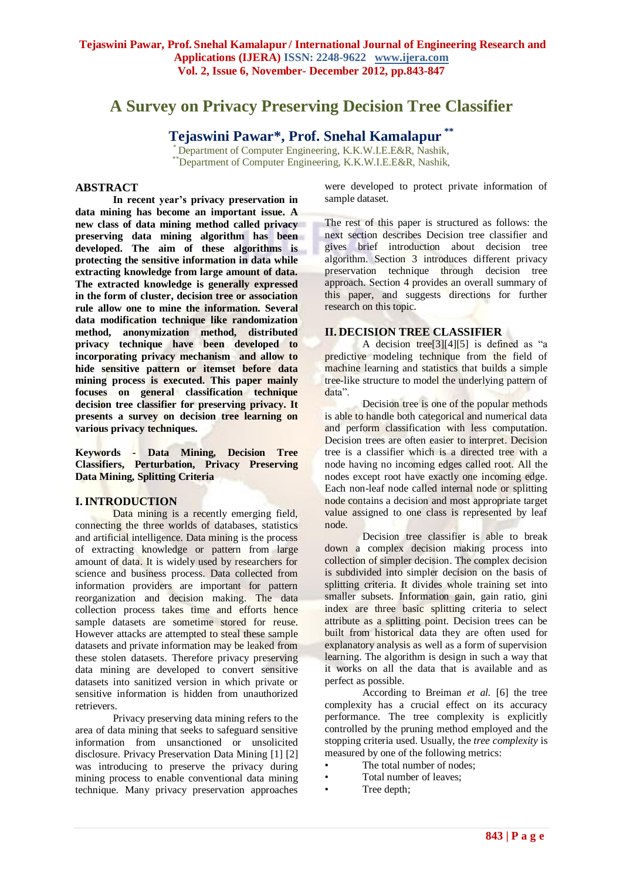# **A Survey on Privacy Preserving Decision Tree Classifier**

## **Tejaswini Pawar\*, Prof. Snehal Kamalapur \*\***

Department of Computer Engineering, K.K.W.I.E.E&R, Nashik, \*\*Department of Computer Engineering, K.K.W.I.E.E&R, Nashik,

#### **ABSTRACT**

**In recent year's privacy preservation in data mining has become an important issue. A new class of data mining method called privacy preserving data mining algorithm has been developed. The aim of these algorithms is protecting the sensitive information in data while extracting knowledge from large amount of data. The extracted knowledge is generally expressed in the form of cluster, decision tree or association rule allow one to mine the information. Several data modification technique like randomization method, anonymization method, distributed privacy technique have been developed to incorporating privacy mechanism and allow to hide sensitive pattern or itemset before data mining process is executed. This paper mainly focuses on general classification technique decision tree classifier for preserving privacy. It presents a survey on decision tree learning on various privacy techniques.**

**Keywords** *-* **Data Mining, Decision Tree Classifiers, Perturbation, Privacy Preserving Data Mining, Splitting Criteria** 

#### **I.INTRODUCTION**

Data mining is a recently emerging field, connecting the three worlds of databases, statistics and artificial intelligence. Data mining is the process of extracting knowledge or pattern from large amount of data. It is widely used by researchers for science and business process. Data collected from information providers are important for pattern reorganization and decision making. The data collection process takes time and efforts hence sample datasets are sometime stored for reuse. However attacks are attempted to steal these sample datasets and private information may be leaked from these stolen datasets. Therefore privacy preserving data mining are developed to convert sensitive datasets into sanitized version in which private or sensitive information is hidden from unauthorized retrievers.

Privacy preserving data mining refers to the area of data mining that seeks to safeguard sensitive information from unsanctioned or unsolicited disclosure. Privacy Preservation Data Mining [1] [2] was introducing to preserve the privacy during mining process to enable conventional data mining technique. Many privacy preservation approaches

were developed to protect private information of sample dataset.

The rest of this paper is structured as follows: the next section describes Decision tree classifier and gives brief introduction about decision tree algorithm. Section 3 introduces different privacy preservation technique through decision tree approach. Section 4 provides an overall summary of this paper, and suggests directions for further research on this topic.

#### **II. DECISION TREE CLASSIFIER**

A decision tree[3][4][5] is defined as "a predictive modeling technique from the field of machine learning and statistics that builds a simple tree-like structure to model the underlying pattern of data".

Decision tree is one of the popular methods is able to handle both categorical and numerical data and perform classification with less computation. Decision trees are often easier to interpret. Decision tree is a classifier which is a directed tree with a node having no incoming edges called root. All the nodes except root have exactly one incoming edge. Each non-leaf node called internal node or splitting node contains a decision and most appropriate target value assigned to one class is represented by leaf node.

Decision tree classifier is able to break down a complex decision making process into collection of simpler decision. The complex decision is subdivided into simpler decision on the basis of splitting criteria. It divides whole training set into smaller subsets. Information gain, gain ratio, gini index are three basic splitting criteria to select attribute as a splitting point. Decision trees can be built from historical data they are often used for explanatory analysis as well as a form of supervision learning. The algorithm is design in such a way that it works on all the data that is available and as perfect as possible.

According to Breiman *et al.* [6] the tree complexity has a crucial effect on its accuracy performance. The tree complexity is explicitly controlled by the pruning method employed and the stopping criteria used. Usually, the *tree complexity* is measured by one of the following metrics:

- The total number of nodes:
- Total number of leaves:
- Tree depth;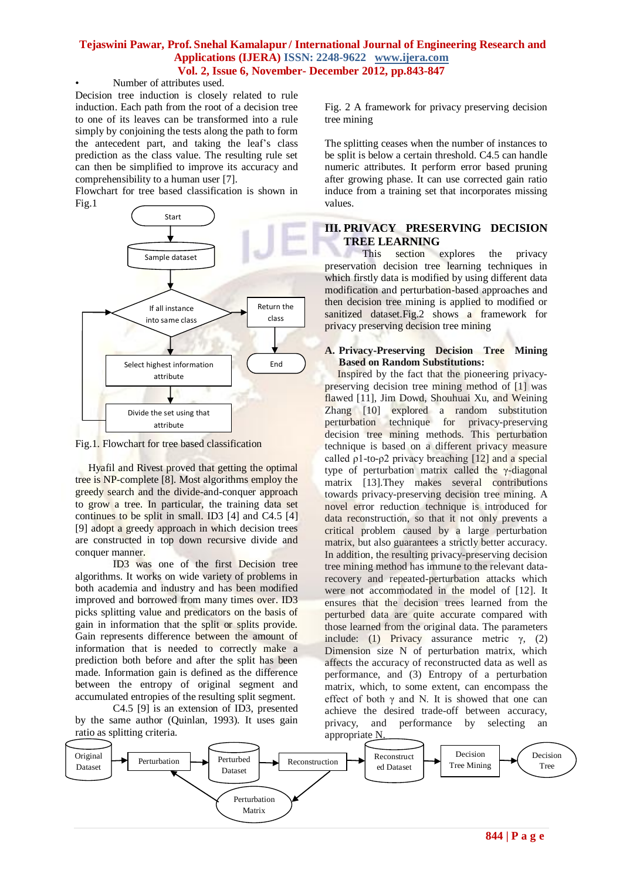### **Tejaswini Pawar, Prof. Snehal Kamalapur / International Journal of Engineering Research and Applications (IJERA) ISSN: 2248-9622 www.ijera.com Vol. 2, Issue 6, November- December 2012, pp.843-847**

#### Number of attributes used.

Decision tree induction is closely related to rule induction. Each path from the root of a decision tree to one of its leaves can be transformed into a rule simply by conjoining the tests along the path to form the antecedent part, and taking the leaf's class prediction as the class value. The resulting rule set can then be simplified to improve its accuracy and comprehensibility to a human user [7].

Flowchart for tree based classification is shown in Fig.1



Fig.1. Flowchart for tree based classification

 Hyafil and Rivest proved that getting the optimal tree is NP-complete [8]. Most algorithms employ the greedy search and the divide-and-conquer approach to grow a tree. In particular, the training data set continues to be split in small. ID3 [4] and C4.5 [4] [9] adopt a greedy approach in which decision trees are constructed in top down recursive divide and conquer manner.

ID3 was one of the first Decision tree algorithms. It works on wide variety of problems in both academia and industry and has been modified improved and borrowed from many times over. ID3 picks splitting value and predicators on the basis of gain in information that the split or splits provide. Gain represents difference between the amount of information that is needed to correctly make a prediction both before and after the split has been made. Information gain is defined as the difference between the entropy of original segment and accumulated entropies of the resulting split segment.

C4.5 [9] is an extension of ID3, presented by the same author (Quinlan, 1993). It uses gain ratio as splitting criteria.

Fig. 2 A framework for privacy preserving decision tree mining

The splitting ceases when the number of instances to be split is below a certain threshold. C4.5 can handle numeric attributes. It perform error based pruning after growing phase. It can use corrected gain ratio induce from a training set that incorporates missing values.

## **III. PRIVACY PRESERVING DECISION TREE LEARNING**

This section explores the privacy preservation decision tree learning techniques in which firstly data is modified by using different data modification and perturbation-based approaches and then decision tree mining is applied to modified or sanitized dataset.Fig.2 shows a framework for privacy preserving decision tree mining

#### **A. Privacy-Preserving Decision Tree Mining Based on Random Substitutions:**

 Inspired by the fact that the pioneering privacypreserving decision tree mining method of [1] was flawed [11], Jim Dowd, Shouhuai Xu, and Weining Zhang [10] explored a random substitution perturbation technique for privacy-preserving decision tree mining methods. This perturbation technique is based on a different privacy measure called  $\rho$ 1-to- $\rho$ 2 privacy breaching [12] and a special type of perturbation matrix called the γ-diagonal matrix [13].They makes several contributions towards privacy-preserving decision tree mining. A novel error reduction technique is introduced for data reconstruction, so that it not only prevents a critical problem caused by a large perturbation matrix, but also guarantees a strictly better accuracy. In addition, the resulting privacy-preserving decision tree mining method has immune to the relevant datarecovery and repeated-perturbation attacks which were not accommodated in the model of [12]. It ensures that the decision trees learned from the perturbed data are quite accurate compared with those learned from the original data. The parameters include: (1) Privacy assurance metric  $\gamma$ , (2) Dimension size N of perturbation matrix, which affects the accuracy of reconstructed data as well as performance, and (3) Entropy of a perturbation matrix, which, to some extent, can encompass the effect of both  $\gamma$  and N. It is showed that one can achieve the desired trade-off between accuracy, privacy, and performance by selecting an appropriate N.

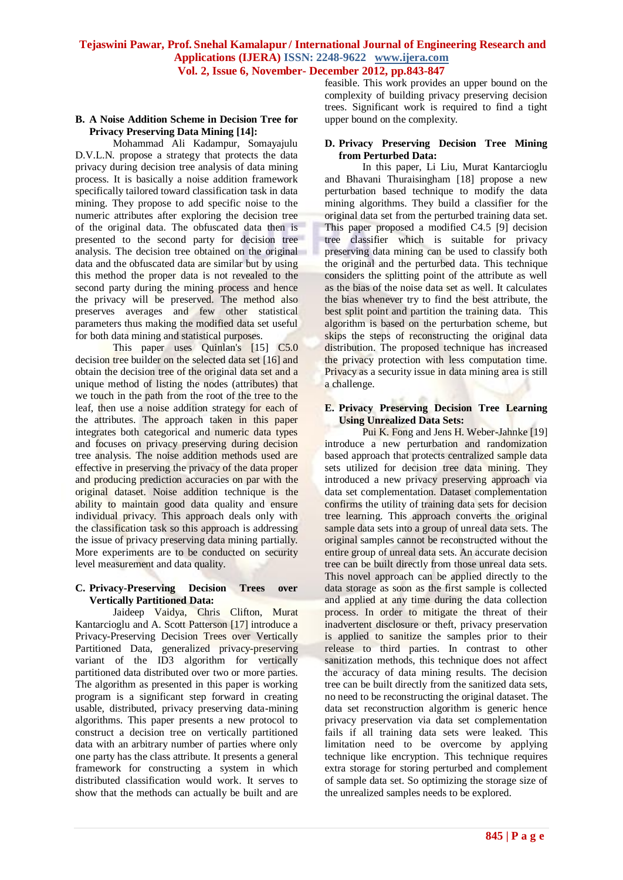#### **B. A Noise Addition Scheme in Decision Tree for Privacy Preserving Data Mining [14]:**

Mohammad Ali Kadampur, Somayajulu D.V.L.N. propose a strategy that protects the data privacy during decision tree analysis of data mining process. It is basically a noise addition framework specifically tailored toward classification task in data mining. They propose to add specific noise to the numeric attributes after exploring the decision tree of the original data. The obfuscated data then is presented to the second party for decision tree analysis. The decision tree obtained on the original data and the obfuscated data are similar but by using this method the proper data is not revealed to the second party during the mining process and hence the privacy will be preserved. The method also preserves averages and few other statistical parameters thus making the modified data set useful for both data mining and statistical purposes.

This paper uses Quinlan's [15] C5.0 decision tree builder on the selected data set [16] and obtain the decision tree of the original data set and a unique method of listing the nodes (attributes) that we touch in the path from the root of the tree to the leaf, then use a noise addition strategy for each of the attributes. The approach taken in this paper integrates both categorical and numeric data types and focuses on privacy preserving during decision tree analysis. The noise addition methods used are effective in preserving the privacy of the data proper and producing prediction accuracies on par with the original dataset. Noise addition technique is the ability to maintain good data quality and ensure individual privacy. This approach deals only with the classification task so this approach is addressing the issue of privacy preserving data mining partially. More experiments are to be conducted on security level measurement and data quality.

#### **C. Privacy-Preserving Decision Trees over Vertically Partitioned Data:**

Jaideep Vaidya, Chris Clifton, Murat Kantarcioglu and A. Scott Patterson [17] introduce a Privacy-Preserving Decision Trees over Vertically Partitioned Data, generalized privacy-preserving variant of the ID3 algorithm for vertically partitioned data distributed over two or more parties. The algorithm as presented in this paper is working program is a significant step forward in creating usable, distributed, privacy preserving data-mining algorithms. This paper presents a new protocol to construct a decision tree on vertically partitioned data with an arbitrary number of parties where only one party has the class attribute. It presents a general framework for constructing a system in which distributed classification would work. It serves to show that the methods can actually be built and are

feasible. This work provides an upper bound on the complexity of building privacy preserving decision trees. Significant work is required to find a tight upper bound on the complexity.

#### **D. Privacy Preserving Decision Tree Mining from Perturbed Data:**

In this paper, Li Liu, Murat Kantarcioglu and Bhavani Thuraisingham [18] propose a new perturbation based technique to modify the data mining algorithms. They build a classifier for the original data set from the perturbed training data set. This paper proposed a modified C4.5 [9] decision tree classifier which is suitable for privacy preserving data mining can be used to classify both the original and the perturbed data. This technique considers the splitting point of the attribute as well as the bias of the noise data set as well. It calculates the bias whenever try to find the best attribute, the best split point and partition the training data. This algorithm is based on the perturbation scheme, but skips the steps of reconstructing the original data distribution. The proposed technique has increased the privacy protection with less computation time. Privacy as a security issue in data mining area is still a challenge.

#### **E. Privacy Preserving Decision Tree Learning Using Unrealized Data Sets:**

Pui K. Fong and Jens H. Weber-Jahnke [19] introduce a new perturbation and randomization based approach that protects centralized sample data sets utilized for decision tree data mining. They introduced a new privacy preserving approach via data set complementation. Dataset complementation confirms the utility of training data sets for decision tree learning. This approach converts the original sample data sets into a group of unreal data sets. The original samples cannot be reconstructed without the entire group of unreal data sets. An accurate decision tree can be built directly from those unreal data sets. This novel approach can be applied directly to the data storage as soon as the first sample is collected and applied at any time during the data collection process. In order to mitigate the threat of their inadvertent disclosure or theft, privacy preservation is applied to sanitize the samples prior to their release to third parties. In contrast to other sanitization methods, this technique does not affect the accuracy of data mining results. The decision tree can be built directly from the sanitized data sets, no need to be reconstructing the original dataset. The data set reconstruction algorithm is generic hence privacy preservation via data set complementation fails if all training data sets were leaked. This limitation need to be overcome by applying technique like encryption. This technique requires extra storage for storing perturbed and complement of sample data set. So optimizing the storage size of the unrealized samples needs to be explored.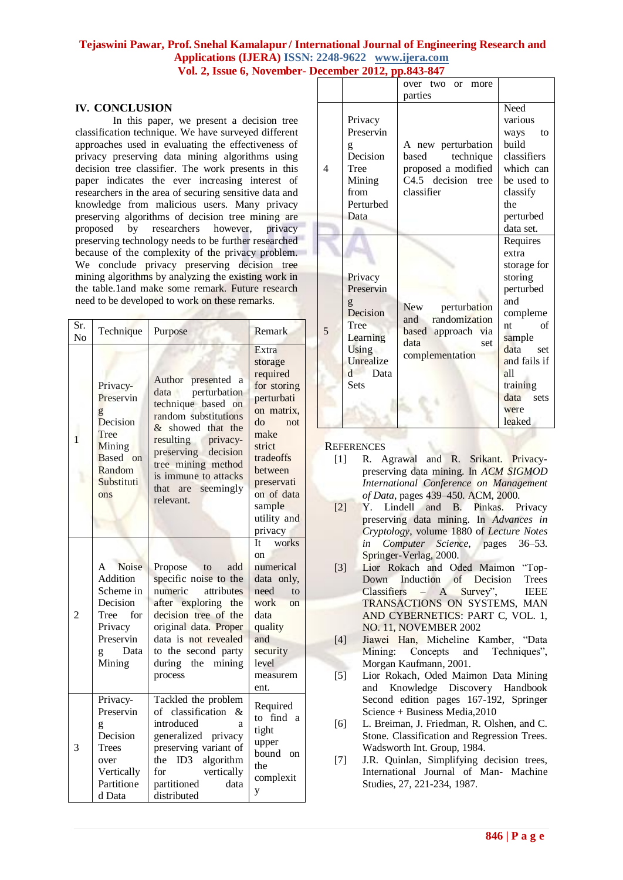#### **Tejaswini Pawar, Prof. Snehal Kamalapur / International Journal of Engineering Research and Applications (IJERA) ISSN: 2248-9622 www.ijera.com Vol. 2, Issue 6, November- December 2012, pp.843-847**

#### **IV. CONCLUSION**

In this paper, we present a decision tree classification technique. We have surveyed different approaches used in evaluating the effectiveness of privacy preserving data mining algorithms using decision tree classifier. The work presents in this paper indicates the ever increasing interest of researchers in the area of securing sensitive data and knowledge from malicious users. Many privacy preserving algorithms of decision tree mining are proposed by researchers however, privacy preserving technology needs to be further researched because of the complexity of the privacy problem. We conclude privacy preserving decision tree mining algorithms by analyzing the existing work in the table.1and make some remark. Future research need to be developed to work on these remarks.

| Sr.<br>N <sub>o</sub> | Technique                                                                                                     | Purpose                                                                                                                                                                                                                                           | Remark                                                                                                                                                                                         |
|-----------------------|---------------------------------------------------------------------------------------------------------------|---------------------------------------------------------------------------------------------------------------------------------------------------------------------------------------------------------------------------------------------------|------------------------------------------------------------------------------------------------------------------------------------------------------------------------------------------------|
| $\mathbf{1}$          | Privacy-<br>Preservin<br>g<br>Decision<br>Tree<br>Mining<br>Based on<br>Random<br>Substituti<br>ons           | Author presented<br>a<br>data perturbation<br>technique based on<br>random substitutions<br>& showed that the<br>resulting<br>privacy-<br>preserving decision<br>tree mining method<br>is immune to attacks<br>seemingly<br>that are<br>relevant. | Extra<br>storage<br>required<br>for storing<br>perturbati<br>on matrix,<br>do<br>not<br>make<br>strict<br>tradeoffs<br>between<br>preservati<br>on of data<br>sample<br>utility and<br>privacy |
| $\overline{c}$        | Noise<br>A<br>Addition<br>Scheme in<br>Decision<br>for<br>Tree<br>Privacy<br>Preservin<br>Data<br>g<br>Mining | Propose<br>to<br>add<br>specific noise to the<br>numeric<br>attributes<br>after exploring the<br>decision tree of the<br>original data. Proper<br>data is not revealed<br>to the second party<br>the mining<br>during<br>process                  | works<br>It<br><sub>on</sub><br>numerical<br>data only,<br>need<br>to<br>work on<br>data<br>quality<br>and<br>security<br>level<br>measurem<br>ent.                                            |
| 3                     | Privacy-<br>Preservin<br>g<br>Decision<br><b>Trees</b><br>over<br>Vertically<br>Partitione<br>d Data          | Tackled the problem<br>of classification<br>&<br>introduced<br>a<br>generalized privacy<br>preserving variant of<br>ID3<br>algorithm<br>the<br>vertically<br>for<br>partitioned<br>data<br>distributed                                            | Required<br>to find a<br>tight<br>upper<br>bound on<br>the<br>complexit<br>y                                                                                                                   |

|   |                                                                                                                        | over two or<br>more                                                                                      |                                                                                                                                                                                       |
|---|------------------------------------------------------------------------------------------------------------------------|----------------------------------------------------------------------------------------------------------|---------------------------------------------------------------------------------------------------------------------------------------------------------------------------------------|
|   |                                                                                                                        | parties                                                                                                  |                                                                                                                                                                                       |
| 4 | Privacy<br>Preservin<br>g<br>Decision<br>Tree<br>Mining<br>from<br>Perturbed<br>Data                                   | A new perturbation<br>based<br>technique<br>proposed a modified<br>$C4.5$ decision<br>tree<br>classifier | Need<br>various<br>ways<br>to<br>build<br>classifiers<br>which can<br>be used to<br>classify<br>the<br>perturbed<br>data set.                                                         |
| 5 | Privacy<br>Preservin<br>g<br>Decision<br>Tree<br>Learning<br><b>Using</b><br>Unrealize<br>Data<br>$\mathsf{d}$<br>Sets | New<br>perturbation<br>and randomization<br>based approach via<br>data<br>set<br>complementation         | Requires<br>extra<br>storage for<br>storing<br>perturbed<br>and<br>compleme<br>of<br>nt<br>sample<br>data<br>set<br>and fails if<br>all<br>training<br>data<br>sets<br>were<br>leaked |

#### **REFERENCES**

- [1] R. Agrawal and R. Srikant. Privacypreserving data mining. In *ACM SIGMOD International Conference on Management of Data*, pages 439–450. ACM, 2000.
- [2] Y. Lindell and B. Pinkas. Privacy preserving data mining. In *Advances in Cryptology*, volume 1880 of *Lecture Notes in Computer Science*, pages 36–53. Springer-Verlag, 2000.
- [3] Lior Rokach and Oded Maimon "Top-Down Induction of Decision Trees Classifiers – A Survey", IEEE TRANSACTIONS ON SYSTEMS, MAN AND CYBERNETICS: PART C, VOL. 1, NO. 11, NOVEMBER 2002
- [4] Jiawei Han, Micheline Kamber, "Data Mining: Concepts and Techniques", Morgan Kaufmann, 2001.
- [5] Lior Rokach, Oded Maimon Data Mining and Knowledge Discovery Handbook Second edition pages 167-192, Springer Science + Business Media,2010
- [6] L. Breiman, J. Friedman, R. Olshen, and C. Stone. Classification and Regression Trees. Wadsworth Int. Group, 1984.
- [7] J.R. Quinlan, Simplifying decision trees, International Journal of Man- Machine Studies, 27, 221-234, 1987.